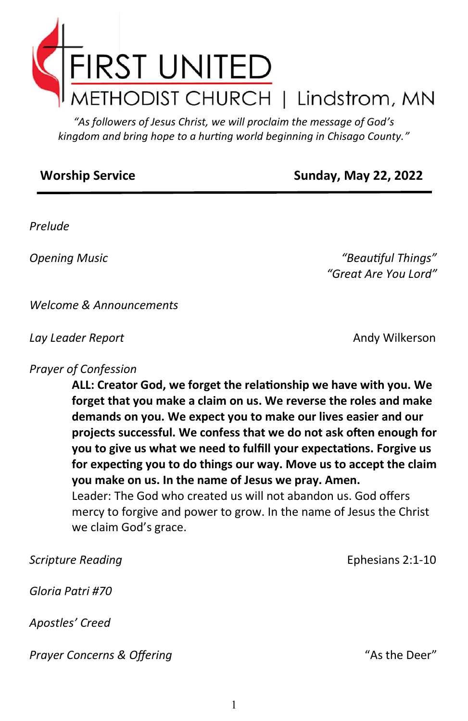

*"As followers of Jesus Christ, we will proclaim the message of God's kingdom and bring hope to a hurting world beginning in Chisago County."*

## **Worship Service Sunday, May 22, 2022**

*Prelude*

*Opening Music "Beautiful Things" "Great Are You Lord"*

*Welcome & Announcements*

*Lay Leader Report* Andy Wilkerson

## *Prayer of Confession*

**ALL: Creator God, we forget the relationship we have with you. We forget that you make a claim on us. We reverse the roles and make demands on you. We expect you to make our lives easier and our projects successful. We confess that we do not ask often enough for you to give us what we need to fulfill your expectations. Forgive us for expecting you to do things our way. Move us to accept the claim you make on us. In the name of Jesus we pray. Amen.**  Leader: The God who created us will not abandon us. God offers mercy to forgive and power to grow. In the name of Jesus the Christ we claim God's grace.

**Scripture Reading**  The Computer of the Ephesians 2:1-10 *Gloria Patri #70 Apostles' Creed* **Prayer Concerns & Offering Prayer Concerns & Offering**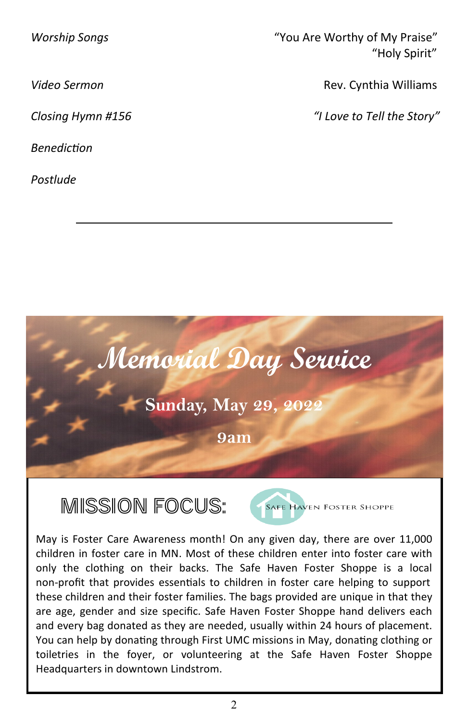*Benediction* 

*Postlude*

*Worship Songs* "You Are Worthy of My Praise" "Holy Spirit"

**Video Sermon Rev. Cynthia Williams** 

*Closing Hymn #156 "I Love to Tell the Story"*



Mission Focus:



May is Foster Care Awareness month! On any given day, there are over 11,000 children in foster care in MN. Most of these children enter into foster care with only the clothing on their backs. The Safe Haven Foster Shoppe is a local non-profit that provides essentials to children in foster care helping to support these children and their foster families. The bags provided are unique in that they are age, gender and size specific. Safe Haven Foster Shoppe hand delivers each and every bag donated as they are needed, usually within 24 hours of placement. You can help by donating through First UMC missions in May, donating clothing or toiletries in the foyer, or volunteering at the Safe Haven Foster Shoppe Headquarters in downtown Lindstrom.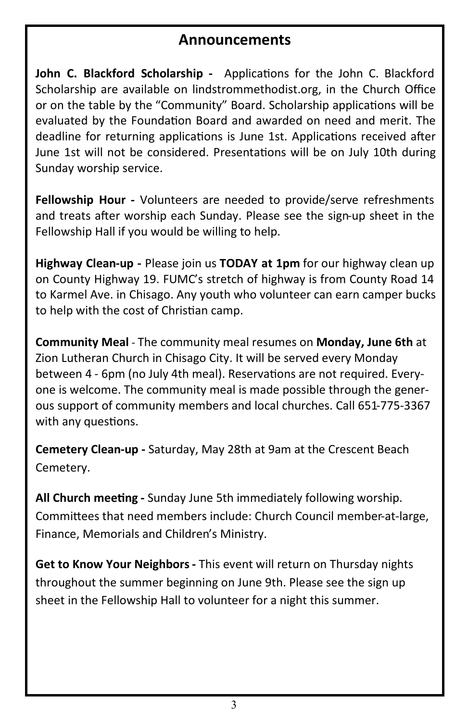## **Announcements**

**John C. Blackford Scholarship -** Applications for the John C. Blackford Scholarship are available on lindstrommethodist.org, in the Church Office or on the table by the "Community" Board. Scholarship applications will be evaluated by the Foundation Board and awarded on need and merit. The deadline for returning applications is June 1st. Applications received after June 1st will not be considered. Presentations will be on July 10th during Sunday worship service.

**Fellowship Hour -** Volunteers are needed to provide/serve refreshments and treats after worship each Sunday. Please see the sign-up sheet in the Fellowship Hall if you would be willing to help.

**Highway Clean-up -** Please join us **TODAY at 1pm** for our highway clean up on County Highway 19. FUMC's stretch of highway is from County Road 14 to Karmel Ave. in Chisago. Any youth who volunteer can earn camper bucks to help with the cost of Christian camp.

**Community Meal** - The community meal resumes on **Monday, June 6th** at Zion Lutheran Church in Chisago City. It will be served every Monday between 4 - 6pm (no July 4th meal). Reservations are not required. Everyone is welcome. The community meal is made possible through the generous support of community members and local churches. Call 651-775-3367 with any questions.

**Cemetery Clean-up -** Saturday, May 28th at 9am at the Crescent Beach Cemetery.

**All Church meeting -** Sunday June 5th immediately following worship. Committees that need members include: Church Council member-at-large, Finance, Memorials and Children's Ministry.

**Get to Know Your Neighbors -** This event will return on Thursday nights throughout the summer beginning on June 9th. Please see the sign up sheet in the Fellowship Hall to volunteer for a night this summer.